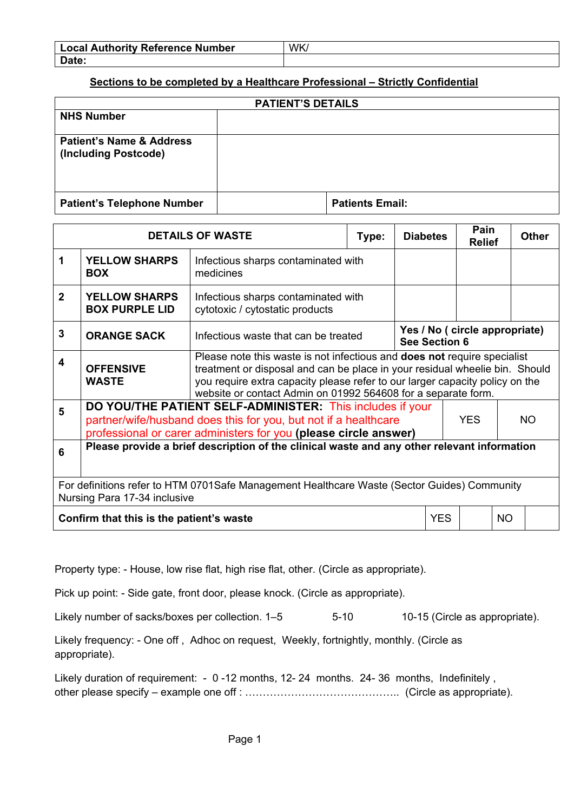| <b>Local Authority Reference Number</b> | WK |
|-----------------------------------------|----|
| Date:                                   |    |

## **Sections to be completed by a Healthcare Professional – Strictly Confidential**

| <b>PATIENT'S DETAILS</b>                                    |                        |  |  |  |  |
|-------------------------------------------------------------|------------------------|--|--|--|--|
| <b>NHS Number</b>                                           |                        |  |  |  |  |
| <b>Patient's Name &amp; Address</b><br>(Including Postcode) |                        |  |  |  |  |
| <b>Patient's Telephone Number</b>                           | <b>Patients Email:</b> |  |  |  |  |

| <b>DETAILS OF WASTE</b>                                                                                                     |                                                                                                                                                                                                                       | Type:                                                                                                                                                                                                                                                                                                           | <b>Diabetes</b>                                        |  | Pain<br><b>Relief</b> |  | <b>Other</b> |  |
|-----------------------------------------------------------------------------------------------------------------------------|-----------------------------------------------------------------------------------------------------------------------------------------------------------------------------------------------------------------------|-----------------------------------------------------------------------------------------------------------------------------------------------------------------------------------------------------------------------------------------------------------------------------------------------------------------|--------------------------------------------------------|--|-----------------------|--|--------------|--|
| 1                                                                                                                           | <b>YELLOW SHARPS</b><br><b>BOX</b>                                                                                                                                                                                    | Infectious sharps contaminated with<br>medicines                                                                                                                                                                                                                                                                |                                                        |  |                       |  |              |  |
| $\mathbf{2}$                                                                                                                | <b>YELLOW SHARPS</b><br><b>BOX PURPLE LID</b>                                                                                                                                                                         | Infectious sharps contaminated with<br>cytotoxic / cytostatic products                                                                                                                                                                                                                                          |                                                        |  |                       |  |              |  |
| $\mathbf{3}$                                                                                                                | <b>ORANGE SACK</b>                                                                                                                                                                                                    | Infectious waste that can be treated                                                                                                                                                                                                                                                                            | Yes / No ( circle appropriate)<br><b>See Section 6</b> |  |                       |  |              |  |
| 4                                                                                                                           | <b>OFFENSIVE</b><br><b>WASTE</b>                                                                                                                                                                                      | Please note this waste is not infectious and <b>does not</b> require specialist<br>treatment or disposal and can be place in your residual wheelie bin. Should<br>you require extra capacity please refer to our larger capacity policy on the<br>website or contact Admin on 01992 564608 for a separate form. |                                                        |  |                       |  |              |  |
| 5                                                                                                                           | DO YOU/THE PATIENT SELF-ADMINISTER: This includes if your<br>partner/wife/husband does this for you, but not if a healthcare<br><b>YES</b><br>NO.<br>professional or carer administers for you (please circle answer) |                                                                                                                                                                                                                                                                                                                 |                                                        |  |                       |  |              |  |
| Please provide a brief description of the clinical waste and any other relevant information<br>6                            |                                                                                                                                                                                                                       |                                                                                                                                                                                                                                                                                                                 |                                                        |  |                       |  |              |  |
| For definitions refer to HTM 0701Safe Management Healthcare Waste (Sector Guides) Community<br>Nursing Para 17-34 inclusive |                                                                                                                                                                                                                       |                                                                                                                                                                                                                                                                                                                 |                                                        |  |                       |  |              |  |
| Confirm that this is the patient's waste<br><b>YES</b><br><b>NO</b>                                                         |                                                                                                                                                                                                                       |                                                                                                                                                                                                                                                                                                                 |                                                        |  |                       |  |              |  |

Property type: - House, low rise flat, high rise flat, other. (Circle as appropriate).

Pick up point: - Side gate, front door, please knock. (Circle as appropriate).

Likely number of sacks/boxes per collection. 1–5 5-10 10-15 (Circle as appropriate).

Likely frequency: - One off , Adhoc on request, Weekly, fortnightly, monthly. (Circle as appropriate).

Likely duration of requirement: - 0-12 months, 12-24 months. 24-36 months, Indefinitely, other please specify – example one off : …………………………………….. (Circle as appropriate).